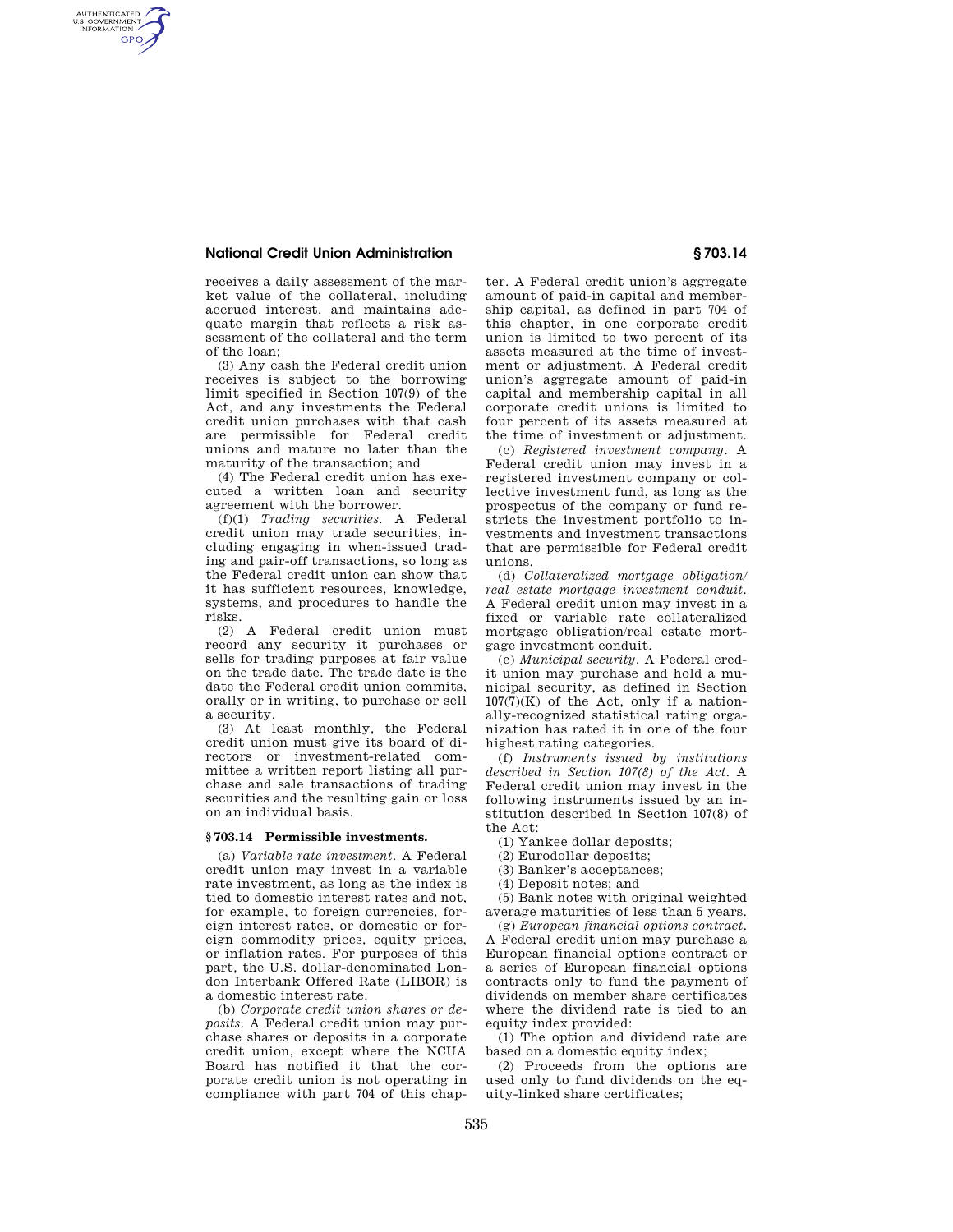## **National Credit Union Administration § 703.14**

AUTHENTICATED<br>U.S. GOVERNMENT<br>INFORMATION **GPO** 

> receives a daily assessment of the market value of the collateral, including accrued interest, and maintains adequate margin that reflects a risk assessment of the collateral and the term of the loan;

> (3) Any cash the Federal credit union receives is subject to the borrowing limit specified in Section 107(9) of the Act, and any investments the Federal credit union purchases with that cash are permissible for Federal credit unions and mature no later than the maturity of the transaction; and

(4) The Federal credit union has executed a written loan and security agreement with the borrower.

(f)(1) *Trading securities.* A Federal credit union may trade securities, including engaging in when-issued trading and pair-off transactions, so long as the Federal credit union can show that it has sufficient resources, knowledge, systems, and procedures to handle the risks.

(2) A Federal credit union must record any security it purchases or sells for trading purposes at fair value on the trade date. The trade date is the date the Federal credit union commits, orally or in writing, to purchase or sell a security.

(3) At least monthly, the Federal credit union must give its board of directors or investment-related committee a written report listing all purchase and sale transactions of trading securities and the resulting gain or loss on an individual basis.

## **§ 703.14 Permissible investments.**

(a) *Variable rate investment.* A Federal credit union may invest in a variable rate investment, as long as the index is tied to domestic interest rates and not, for example, to foreign currencies, foreign interest rates, or domestic or foreign commodity prices, equity prices, or inflation rates. For purposes of this part, the U.S. dollar-denominated London Interbank Offered Rate (LIBOR) is a domestic interest rate.

(b) *Corporate credit union shares or deposits.* A Federal credit union may purchase shares or deposits in a corporate credit union, except where the NCUA Board has notified it that the corporate credit union is not operating in compliance with part 704 of this chap-

ter. A Federal credit union's aggregate amount of paid-in capital and membership capital, as defined in part 704 of this chapter, in one corporate credit union is limited to two percent of its assets measured at the time of investment or adjustment. A Federal credit union's aggregate amount of paid-in capital and membership capital in all corporate credit unions is limited to four percent of its assets measured at the time of investment or adjustment.

(c) *Registered investment company.* A Federal credit union may invest in a registered investment company or collective investment fund, as long as the prospectus of the company or fund restricts the investment portfolio to investments and investment transactions that are permissible for Federal credit unions.

(d) *Collateralized mortgage obligation/ real estate mortgage investment conduit.*  A Federal credit union may invest in a fixed or variable rate collateralized mortgage obligation/real estate mortgage investment conduit.

(e) *Municipal security.* A Federal credit union may purchase and hold a municipal security, as defined in Section  $107(7)(K)$  of the Act, only if a nationally-recognized statistical rating organization has rated it in one of the four highest rating categories.

(f) *Instruments issued by institutions described in Section 107(8) of the Act.* A Federal credit union may invest in the following instruments issued by an institution described in Section 107(8) of the Act:

(1) Yankee dollar deposits;

- (2) Eurodollar deposits;
- (3) Banker's acceptances;
- (4) Deposit notes; and

(5) Bank notes with original weighted average maturities of less than 5 years.

(g) *European financial options contract.*  A Federal credit union may purchase a European financial options contract or a series of European financial options contracts only to fund the payment of dividends on member share certificates where the dividend rate is tied to an equity index provided:

(1) The option and dividend rate are based on a domestic equity index;

(2) Proceeds from the options are used only to fund dividends on the equity-linked share certificates;